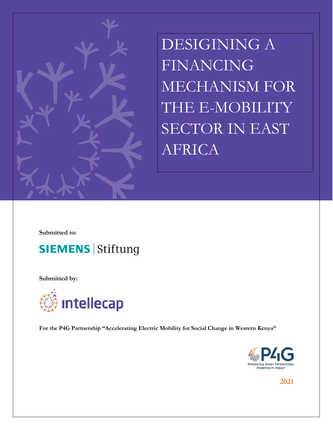

DESIGINING A FINANCING MECHANISM FOR THE E-MOBILITY SECTOR IN EAST AFRICA

**Submitted to:**



**Submitted by:**



**For the P4G Partnership "Accelerating Electric Mobility for Social Change in Western Kenya"**



**2021**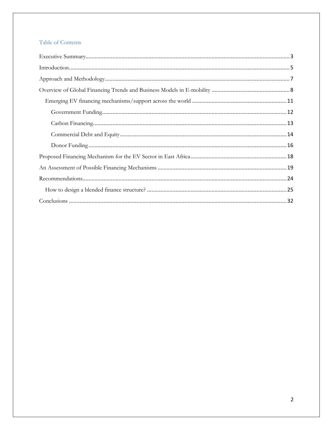## Table of Contents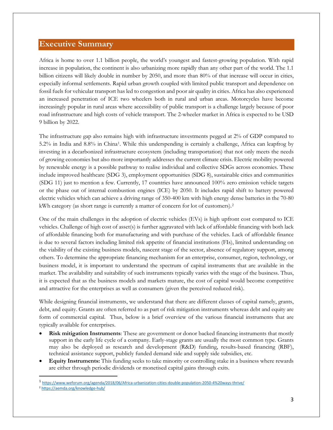## <span id="page-2-0"></span>**Executive Summary**

Africa is home to over 1.1 billion people, the world's youngest and fastest-growing population. With rapid increase in population, the continent is also urbanizing more rapidly than any other part of the world. The 1.1 billion citizens will likely double in number by 2050, and more than 80% of that increase will occur in cities, especially informal settlements. Rapid urban growth coupled with limited public transport and dependence on fossil fuels for vehicular transport has led to congestion and poor air quality in cities. Africa has also experienced an increased penetration of ICE two wheelers both in rural and urban areas. Motorcycles have become increasingly popular in rural areas where accessibility of public transport is a challenge largely because of poor road infrastructure and high costs of vehicle transport. The 2-wheeler market in Africa is expected to be USD 9 billion by 2022.

The infrastructure gap also remains high with infrastructure investments pegged at 2% of GDP compared to 5.2% in India and 8.8% in China[1.](#page-2-1) While this underspending is certainly a challenge, Africa can leapfrog by investing in a decarbonized infrastructure ecosystem (including transportation) that not only meets the needs of growing economies but also more importantly addresses the current climate crisis. Electric mobility powered by renewable energy is a possible pathway to realise individual and collective SDGs across economies. These include improved healthcare (SDG 3), employment opportunities (SDG 8), sustainable cities and communities (SDG 11) just to mention a few. Currently, 17 countries have announced 100% zero emission vehicle targets or the phase out of internal combustion engines (ICE) by 2050. It includes rapid shift to battery powered electric vehicles which can achieve a driving range of 350-400 km with high energy dense batteries in the 70-80 kWh category (as short range is currently a matter of concern for lot of customers).<sup>[2](#page-2-2)</sup>

One of the main challenges in the adoption of electric vehicles (EVs) is high upfront cost compared to ICE vehicles. Challenge of high cost of asset(s) is further aggravated with lack of affordable financing with both lack of affordable financing both for manufacturing and with purchase of the vehicles. Lack of affordable finance is due to several factors including limited risk appetite of financial institutions (FIs), limited understanding on the viability of the existing business models, nascent stage of the sector, absence of regulatory support, among others. To determine the appropriate financing mechanism for an enterprise, consumer, region, technology, or business model, it is important to understand the spectrum of capital instruments that are available in the market. The availability and suitability of such instruments typically varies with the stage of the business. Thus, it is expected that as the business models and markets mature, the cost of capital would become competitive and attractive for the enterprises as well as consumers (given the perceived reduced risk).

While designing financial instruments, we understand that there are different classes of capital namely, grants, debt, and equity. Grants are often referred to as part of risk mitigation instruments whereas debt and equity are form of commercial capital. Thus, below is a brief overview of the various financial instruments that are typically available for enterprises.

- **Risk mitigation Instruments**: These are government or donor backed financing instruments that mostly support in the early life cycle of a company. Early-stage grants are usually the most common type. Grants may also be deployed as research and development (R&D) funding, results-based financing (RBF), technical assistance support, publicly funded demand side and supply side subsidies, etc.
- **Equity Instruments:** This funding seeks to take minority or controlling stake in a business where rewards are either through periodic dividends or monetised capital gains through exits.

<span id="page-2-1"></span> <sup>1</sup> <https://www.weforum.org/agenda/2018/06/Africa-urbanization-cities-double-population-2050-4%20ways-thrive/>

<span id="page-2-2"></span><sup>2</sup> <https://aemda.org/knowledge-hub/>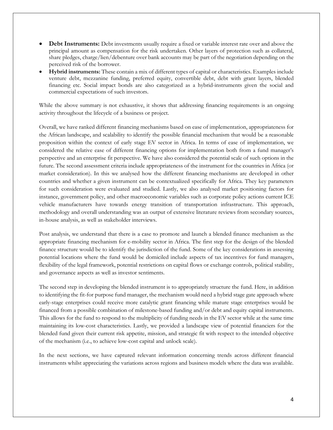- **Debt Instruments:** Debt investments usually require a fixed or variable interest rate over and above the principal amount as compensation for the risk undertaken. Other layers of protection such as collateral, share pledges, charge/lien/debenture over bank accounts may be part of the negotiation depending on the perceived risk of the borrower.
- **Hybrid instruments:** These contain a mix of different types of capital or characteristics. Examples include venture debt, mezzanine funding, preferred equity, convertible debt, debt with grant layers, blended financing etc. Social impact bonds are also categorized as a hybrid-instruments given the social and commercial expectations of such investors.

While the above summary is not exhaustive, it shows that addressing financing requirements is an ongoing activity throughout the lifecycle of a business or project.

Overall, we have ranked different financing mechanisms based on ease of implementation, appropriateness for the African landscape, and scalability to identify the possible financial mechanism that would be a reasonable proposition within the context of early stage EV sector in Africa. In terms of ease of implementation, we considered the relative ease of different financing options for implementation both from a fund manager's perspective and an enterprise fit perspective. We have also considered the potential scale of such options in the future. The second assessment criteria include appropriateness of the instrument for the countries in Africa (or market consideration). In this we analysed how the different financing mechanisms are developed in other countries and whether a given instrument can be contextualized specifically for Africa. They key parameters for such consideration were evaluated and studied. Lastly, we also analysed market positioning factors for instance, government policy, and other macroeconomic variables such as corporate policy actions current ICE vehicle manufacturers have towards energy transition of transportation infrastructure. This approach, methodology and overall understanding was an output of extensive literature reviews from secondary sources, in-house analysis, as well as stakeholder interviews.

Post analysis, we understand that there is a case to promote and launch a blended finance mechanism as the appropriate financing mechanism for e-mobility sector in Africa. The first step for the design of the blended finance structure would be to identify the jurisdiction of the fund. Some of the key considerations in assessing potential locations where the fund would be domiciled include aspects of tax incentives for fund managers, flexibility of the legal framework, potential restrictions on capital flows or exchange controls, political stability, and governance aspects as well as investor sentiments.

The second step in developing the blended instrument is to appropriately structure the fund. Here, in addition to identifying the fit-for purpose fund manager, the mechanism would need a hybrid stage gate approach where early-stage enterprises could receive more catalytic grant financing while mature stage enterprises would be financed from a possible combination of milestone-based funding and/or debt and equity capital instruments. This allows for the fund to respond to the multiplicity of funding needs in the EV sector while at the same time maintaining its low-cost characteristics. Lastly, we provided a landscape view of potential financiers for the blended fund given their current risk appetite, mission, and strategic fit with respect to the intended objective of the mechanism (i.e., to achieve low-cost capital and unlock scale).

In the next sections, we have captured relevant information concerning trends across different financial instruments whilst appreciating the variations across regions and business models where the data was available.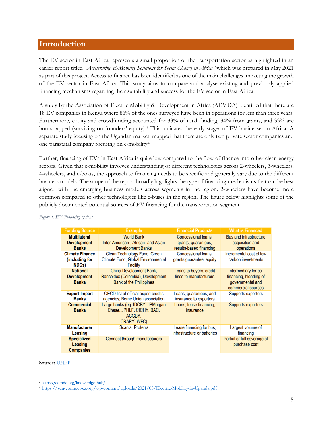## <span id="page-4-0"></span>**Introduction**

The EV sector in East Africa represents a small proportion of the transportation sector as highlighted in an earlier report titled *"Accelerating E-Mobility Solutions for Social Change in Africa''* which was prepared in May 2021 as part of this project. Access to finance has been identified as one of the main challenges impacting the growth of the EV sector in East Africa. This study aims to compare and analyse existing and previously applied financing mechanisms regarding their suitability and success for the EV sector in East Africa.

A study by the Association of Electric Mobility & Development in Africa (AEMDA) identified that there are 18 EV companies in Kenya where 86% of the ones surveyed have been in operations for less than three years. Furthermore, equity and crowdfunding accounted for 33% of total funding, 34% from grants, and 33% are bootstrapped (surviving on founders' equity).[3](#page-4-1) This indicates the early stages of EV businesses in Africa. A separate study focusing on the Ugandan market, mapped that there are only two private sector companies and one parastatal company focusing on e-mobility[4.](#page-4-2)

Further, financing of EVs in East Africa is quite low compared to the flow of finance into other clean energy sectors. Given that e-mobility involves understanding of different technologies across 2-wheelers, 3-wheelers, 4-wheelers, and e-boats, the approach to financing needs to be specific and generally vary due to the different business models. The scope of the report broadly highlights the type of financing mechanisms that can be best aligned with the emerging business models across segments in the region. 2-wheelers have become more common compared to other technologies like e-buses in the region. The figure below highlights some of the publicly documented potential sources of EV financing for the transportation segment.

| <b>Funding Source</b>                                     | <b>Example</b>                                                                                 | <b>Financial Products</b>                                             | <b>What is Financed</b>                                                                  |
|-----------------------------------------------------------|------------------------------------------------------------------------------------------------|-----------------------------------------------------------------------|------------------------------------------------------------------------------------------|
| <b>Multilateral</b><br><b>Development</b><br><b>Banks</b> | <b>World Bank</b><br>Inter-American-, African- and Asian<br><b>Development Banks</b>           | Concessional loans.<br>grants, guarantees,<br>results-based financing | <b>Bus and infrastructure</b><br>acquisition and<br>operations                           |
| <b>Climate Finance</b><br>(including for<br>NDCs)         | Clean Technology Fund, Green<br>Climate Fund, Global Environmental<br><b>Facility</b>          | Concessional loans.<br>grants quarantee, equity                       | Incremental cost of low<br>carbon investments                                            |
| <b>National</b><br><b>Development</b><br><b>Banks</b>     | China Development Bank,<br>Bancoldex (Colombia), Development<br><b>Bank of the Philippines</b> | Loans to buyers, credit<br>lines to manufacturers                     | Intermediary for co-<br>financing, blending of<br>governmental and<br>commercial sources |
| <b>Export-Import</b><br><b>Banks</b>                      | OECD list of official export credits<br>agencies; Berne Union association                      | Loans, guarantees, and<br>insurance to exporters                      | Supports exporters                                                                       |
| <b>Commercial</b><br><b>Banks</b>                         | Large banks (eg. IDCBY, JPMorgan<br>Chase, JPHLF, CICHY, BAC.<br>ACGBY.<br>CRARY, WFC)         | Loans, lease financing,<br>insurance                                  | Supports exporters                                                                       |
| <b>Manufacturer</b><br>Leasing                            | Scania, Proterra                                                                               | Lease financing for bus,<br>infrastructure or batteries               | Largest volume of<br>financing                                                           |
| <b>Specialized</b><br><b>Leasing</b><br><b>Companies</b>  | Connect through manufacturers                                                                  |                                                                       | Partial or full coverage of<br>purchase cost                                             |

*Figure 1: EV Financing options* 

#### **Source:** [UNEP](https://wedocs.unep.org/bitstream/handle/20.500.11822/25188/TransformingTransportation_CleanandEfficientTechnologies.pdf)

<span id="page-4-2"></span><span id="page-4-1"></span> <sup>3</sup> <https://aemda.org/knowledge-hub/>

<sup>4</sup> <https://sun-connect-ea.org/wp-content/uploads/2021/05/Electric-Mobility-in-Uganda.pdf>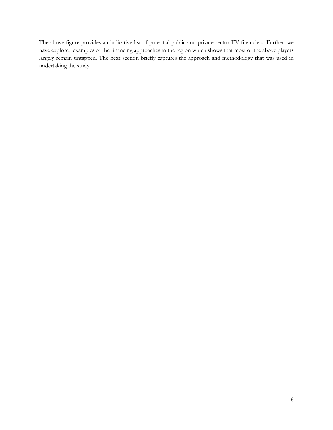The above figure provides an indicative list of potential public and private sector EV financiers. Further, we have explored examples of the financing approaches in the region which shows that most of the above players largely remain untapped. The next section briefly captures the approach and methodology that was used in undertaking the study.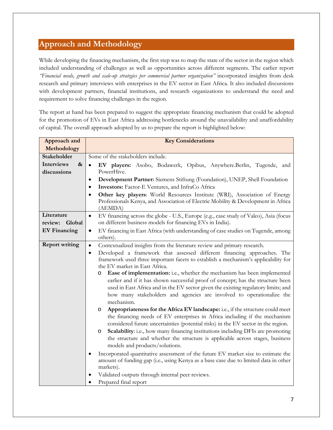# <span id="page-6-0"></span>**Approach and Methodology**

While developing the financing mechanism, the first step was to map the state of the sector in the region which included understanding of challenges as well as opportunities across different segments. The earlier report *"Financial needs, growth and scale-up strategies per commercial partner organization"* incorporated insights from desk research and primary interviews with enterprises in the EV sector in East Africa. It also included discussions with development partners, financial institutions, and research organizations to understand the need and requirement to solve financing challenges in the region.

The report at hand has been prepared to suggest the appropriate financing mechanism that could be adopted for the promotion of EVs in East Africa addressing bottlenecks around the unavailability and unaffordability of capital. The overall approach adopted by us to prepare the report is highlighted below:

| Some of the stakeholders include.                                                                                                                                                                                                                                                                                                                                                                                                                                                                                                                                                                                                                                                                                                                                                                                                                                                                                                                                                                                                                                                                                                                                                                                                                                                                        |
|----------------------------------------------------------------------------------------------------------------------------------------------------------------------------------------------------------------------------------------------------------------------------------------------------------------------------------------------------------------------------------------------------------------------------------------------------------------------------------------------------------------------------------------------------------------------------------------------------------------------------------------------------------------------------------------------------------------------------------------------------------------------------------------------------------------------------------------------------------------------------------------------------------------------------------------------------------------------------------------------------------------------------------------------------------------------------------------------------------------------------------------------------------------------------------------------------------------------------------------------------------------------------------------------------------|
| EV players: Asobo, Bodawerk, Opibus, Anywhere.Berlin, Tugende, and<br>$\bullet$                                                                                                                                                                                                                                                                                                                                                                                                                                                                                                                                                                                                                                                                                                                                                                                                                                                                                                                                                                                                                                                                                                                                                                                                                          |
| PowerHive.                                                                                                                                                                                                                                                                                                                                                                                                                                                                                                                                                                                                                                                                                                                                                                                                                                                                                                                                                                                                                                                                                                                                                                                                                                                                                               |
| Development Partner: Siemens Stiftung (Foundation), UNEP, Shell Foundation                                                                                                                                                                                                                                                                                                                                                                                                                                                                                                                                                                                                                                                                                                                                                                                                                                                                                                                                                                                                                                                                                                                                                                                                                               |
| Investors: Factor-E Ventures, and InfraCo Africa                                                                                                                                                                                                                                                                                                                                                                                                                                                                                                                                                                                                                                                                                                                                                                                                                                                                                                                                                                                                                                                                                                                                                                                                                                                         |
| Other key players: World Resources Institute (WRI), Association of Energy<br>$\bullet$<br>Professionals Kenya, and Association of Electric Mobility & Development in Africa<br>(AEMDA)                                                                                                                                                                                                                                                                                                                                                                                                                                                                                                                                                                                                                                                                                                                                                                                                                                                                                                                                                                                                                                                                                                                   |
| EV financing across the globe - U.S., Europe (e.g., case study of Valeo), Asia (focus<br>$\bullet$<br>on different business models for financing EVs in India).                                                                                                                                                                                                                                                                                                                                                                                                                                                                                                                                                                                                                                                                                                                                                                                                                                                                                                                                                                                                                                                                                                                                          |
| EV financing in East Africa (with understanding of case studies on Tugende, among<br>$\bullet$<br>others).                                                                                                                                                                                                                                                                                                                                                                                                                                                                                                                                                                                                                                                                                                                                                                                                                                                                                                                                                                                                                                                                                                                                                                                               |
| Contextualized insights from the literature review and primary research.<br>$\bullet$                                                                                                                                                                                                                                                                                                                                                                                                                                                                                                                                                                                                                                                                                                                                                                                                                                                                                                                                                                                                                                                                                                                                                                                                                    |
| Developed a framework that assessed different financing approaches. The<br>$\bullet$<br>framework used three important facets to establish a mechanism's applicability for<br>the EV market in East Africa.<br>Ease of implementation: i.e., whether the mechanism has been implemented<br>O<br>earlier and if it has shown successful proof of concept; has the structure been<br>used in East Africa and in the EV sector given the existing regulatory limits; and<br>how many stakeholders and agencies are involved to operationalize the<br>mechanism.<br>Appropriateness for the Africa EV landscape: i.e., if the structure could meet<br>O<br>the financing needs of EV enterprises in Africa including if the mechanism<br>considered future uncertainties (potential risks) in the EV sector in the region.<br>Scalability: i.e., how many financing institutions including DFIs are promoting<br>O<br>the structure and whether the structure is applicable across stages, business<br>models and products/solutions.<br>Incorporated quantitative assessment of the future EV market size to estimate the<br>amount of funding gap (i.e., using Kenya as a base case due to limited data in other<br>markets).<br>Validated outputs through internal peer reviews.<br>Prepared final report |
|                                                                                                                                                                                                                                                                                                                                                                                                                                                                                                                                                                                                                                                                                                                                                                                                                                                                                                                                                                                                                                                                                                                                                                                                                                                                                                          |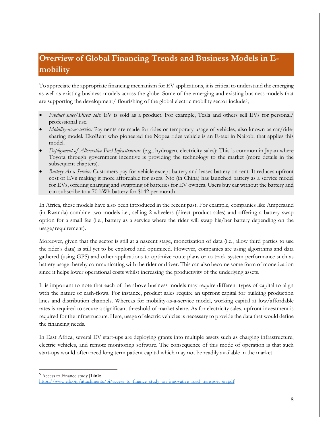# <span id="page-7-0"></span>**Overview of Global Financing Trends and Business Models in Emobility**

To appreciate the appropriate financing mechanism for EV applications, it is critical to understand the emerging as well as existing business models across the globe. Some of the emerging and existing business models that are supporting the development/ flourishing of the global electric mobility sector include<sup>[5](#page-7-1)</sup>;

- *Product sales/Direct sale*: EV is sold as a product. For example, Tesla and others sell EVs for personal/ professional use.
- *Mobility-as-as-service:* Payments are made for rides or temporary usage of vehicles, also known as car/ridesharing model. EkoRent who pioneered the Nopea rides vehicle is an E-taxi in Nairobi that applies this model.
- *Deployment of Alternative Fuel Infrastructure* (e.g., hydrogen, electricity sales): This is common in Japan where Toyota through government incentive is providing the technology to the market (more details in the subsequent chapters).
- *Battery-As-a-Service:* Customers pay for vehicle except battery and leases battery on rent. It reduces upfront cost of EVs making it more affordable for users. Nio (in China) has launched battery as a service model for EVs, offering charging and swapping of batteries for EV owners. Users buy car without the battery and can subscribe to a 70-kWh battery for \$142 per month

In Africa, these models have also been introduced in the recent past. For example, companies like Ampersand (in Rwanda) combine two models i.e., selling 2-wheelers (direct product sales) and offering a battery swap option for a small fee (i.e., battery as a service where the rider will swap his/her battery depending on the usage/requirement).

Moreover, given that the sector is still at a nascent stage, monetization of data (i.e., allow third parties to use the rider's data) is still yet to be explored and optimized. However, companies are using algorithms and data gathered (using GPS) and other applications to optimize route plans or to track system performance such as battery usage thereby communicating with the rider or driver. This can also become some form of monetization since it helps lower operational costs whilst increasing the productivity of the underlying assets.

It is important to note that each of the above business models may require different types of capital to align with the nature of cash-flows. For instance, product sales require an upfront capital for building production lines and distribution channels. Whereas for mobility-as-a-service model, working capital at low/affordable rates is required to secure a significant threshold of market share. As for electricity sales, upfront investment is required for the infrastructure. Here, usage of electric vehicles is necessary to provide the data that would define the financing needs.

In East Africa, several EV start-ups are deploying grants into multiple assets such as charging infrastructure, electric vehicles, and remote monitoring software. The consequence of this mode of operation is that such start-ups would often need long term patient capital which may not be readily available in the market.

<span id="page-7-1"></span>5 Access to Finance study [**Link:**

https://www.eib.org/attachments/pj/access\_to\_finance\_study\_on\_innovative\_road\_transport\_en.pdf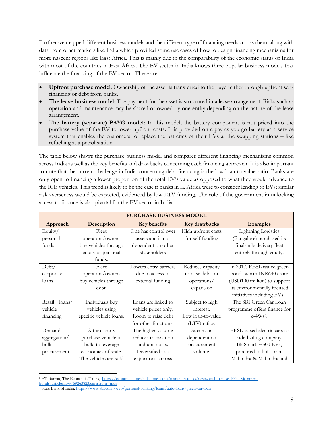Further we mapped different business models and the different type of financing needs across them, along with data from other markets like India which provided some use cases of how to design financing mechanisms for more nascent regions like East Africa. This is mainly due to the comparability of the economic status of India with most of the countries in East Africa. The EV sector in India knows three popular business models that influence the financing of the EV sector. These are:

- **Upfront purchase model**: Ownership of the asset is transferred to the buyer either through upfront selffinancing or debt from banks.
- **The lease business model**: The payment for the asset is structured in a lease arrangement. Risks such as operation and maintenance may be shared or owned by one entity depending on the nature of the lease arrangement.
- **The battery (separate) PAYG model**: In this model, the battery component is not priced into the purchase value of the EV to lower upfront costs. It is provided on a pay-as-you-go battery as a service system that enables the customers to replace the batteries of their EVs at the swapping stations – like refuelling at a petrol station.

The table below shows the purchase business model and compares different financing mechanisms common across India as well as the key benefits and drawbacks concerning each financing approach. It is also important to note that the current challenge in India concerning debt financing is the low loan-to-value ratio. Banks are only open to financing a lower proportion of the total EV's value as opposed to what they would advance to the ICE vehicles. This trend is likely to be the case if banks in E. Africa were to consider lending to EVs; similar risk averseness would be expected, evidenced by low LTV funding. The role of the government in unlocking access to finance is also pivotal for the EV sector in India.

|                            | <b>PURCHASE BUSINESS MODEL</b> |                       |                    |                                          |
|----------------------------|--------------------------------|-----------------------|--------------------|------------------------------------------|
| Approach                   | <b>Description</b>             | <b>Key benefits</b>   | Key drawbacks      | <b>Examples</b>                          |
| Equity/                    | Fleet                          | One has control over  | High upfront costs | <b>Lightning Logistics</b>               |
| personal                   | operators/owners               | assets and is not     | for self-funding   | (Bangalore) purchased its                |
| funds                      | buy vehicles through           | dependent on other    |                    | final-mile delivery fleet                |
|                            | equity or personal             | stakeholders          |                    | entirely through equity.                 |
|                            | funds.                         |                       |                    |                                          |
| Debt/                      | Fleet                          | Lowers entry barriers | Reduces capacity   | In 2017, EESL issued green               |
| corporate                  | operators/owners               | due to access to      | to raise debt for  | bonds worth INR640 crore                 |
| loans                      | buy vehicles through           | external funding      | operations/        | (USD100 million) to support              |
|                            | debt.                          |                       | expansion          | its environmentally focused              |
|                            |                                |                       |                    | initiatives including EVs <sup>6</sup> . |
| Retail<br>$\langle$ loans/ | Individuals buy                | Loans are linked to   | Subject to high    | The SBI Green Car Loan                   |
| vehicle                    | vehicles using                 | vehicle prices only.  | interest.          | programme offers finance for             |
| financing                  | specific vehicle loans.        | Room to raise debt    | Low loan-to-value  | $e-4Ws7$ .                               |
|                            |                                | for other functions.  | (LTV) ratios.      |                                          |
| Demand                     | A third-party                  | The higher volume     | Success is         | EESL leased electric cars to             |
| aggregation/               | purchase vehicle in            | reduces transaction   | dependent on       | ride-hailing company                     |
| bulk                       | bulk, to leverage              | and unit costs.       | procurement        | BluSmart. ~300 EVs,                      |
| procurement                | economies of scale.            | Diversified risk      | volume.            | procured in bulk from                    |
|                            | The vehicles are sold          | exposure is across    |                    | Mahindra & Mahindra and                  |

 $\overline{a}$ <sup>6</sup> ET Bureau, The Economic Times, [https://economictimes.indiatimes.com/markets/stocks/news/eesl-to-raise-100m-via-green-](https://economictimes.indiatimes.com/markets/stocks/news/eesl-to-raise-100m-via-green-bonds/articleshow/59263823.cms?from=mdr)

<span id="page-8-0"></span>[bonds/articleshow/59263823.cms?from=mdr](https://economictimes.indiatimes.com/markets/stocks/news/eesl-to-raise-100m-via-green-bonds/articleshow/59263823.cms?from=mdr)

<span id="page-8-1"></span><sup>7</sup> State Bank of India;<https://www.sbi.co.in/web/personal-banking/loans/auto-loans/green-car-loan>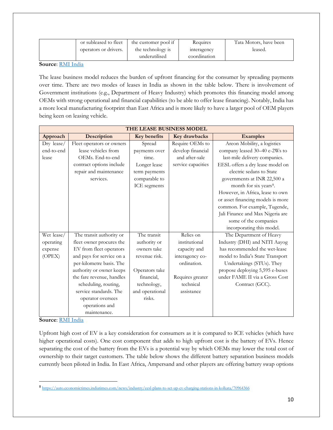| or subleased to fleet | the customer pool if | Requires     | Tata Motors, have been |
|-----------------------|----------------------|--------------|------------------------|
| operators or drivers. | the technology is    | interagency  | leased.                |
|                       | underutilised        | coordination |                        |

**Source**[: RMI India](https://www.rmi-india.org/insight/mobilising-finance-for-evs-in-india)

The lease business model reduces the burden of upfront financing for the consumer by spreading payments over time. There are two modes of leases in India as shown in the table below. There is involvement of Government institutions (e.g., Department of Heavy Industry) which promotes this financing model among OEMs with strong operational and financial capabilities (to be able to offer lease financing). Notably, India has a more local manufacturing footprint than East Africa and is more likely to have a larger pool of OEM players being keen on leasing vehicle.

|            | THE LEASE BUSINESS MODEL  |                     |                    |                                    |
|------------|---------------------------|---------------------|--------------------|------------------------------------|
| Approach   | Description               | <b>Key benefits</b> | Key drawbacks      | <b>Examples</b>                    |
| Dry lease/ | Fleet operators or owners | Spread              | Require OEMs to    | Areon Mobility, a logistics        |
| end-to-end | lease vehicles from       | payments over       | develop financial  | company leased 30-40 e-2Ws to      |
| lease      | OEMs. End-to-end          | time.               | and after-sale     | last-mile delivery companies.      |
|            | contract options include  | Longer lease        | service capacities | EESL offers a dry lease model on   |
|            | repair and maintenance    | term payments       |                    | electric sedans to State           |
|            | services.                 | comparable to       |                    | governments at INR 22,500 a        |
|            |                           | ICE segments        |                    | month for six years <sup>8</sup> . |
|            |                           |                     |                    | However, in Africa, lease to own   |
|            |                           |                     |                    | or asset financing models is more  |
|            |                           |                     |                    | common. For example, Tugende,      |
|            |                           |                     |                    | Jali Finance and Max Nigeria are   |
|            |                           |                     |                    | some of the companies              |
|            |                           |                     |                    | incorporating this model.          |
| Wet lease/ | The transit authority or  | The transit         | Relies on          | The Department of Heavy            |
| operating  | fleet owner procures the  | authority or        | institutional      | Industry (DHI) and NITI Aayog      |
| expense    | EV from fleet operators   | owners take         | capacity and       | has recommended the wet-lease      |
| (OPEX)     | and pays for service on a | revenue risk.       | interagency co-    | model to India's State Transport   |
|            | per-kilometre basis. The  |                     | ordination.        | Undertakings (STUs). They          |
|            | authority or owner keeps  | Operators take      |                    | propose deploying 5,595 e-buses    |
|            | the fare revenue, handles | financial.          | Requires greater   | under FAME II via a Gross Cost     |
|            | scheduling, routing,      | technology,         | technical          | Contract (GCC).                    |
|            | service standards. The    | and operational     | assistance         |                                    |
|            | operator oversees         | risks.              |                    |                                    |
|            | operations and            |                     |                    |                                    |
|            | maintenance.              |                     |                    |                                    |

**Source**[: RMI India](https://www.rmi-india.org/insight/mobilising-finance-for-evs-in-india)

Upfront high cost of EV is a key consideration for consumers as it is compared to ICE vehicles (which have higher operational costs). One cost component that adds to high upfront cost is the battery of EVs. Hence separating the cost of the battery from the EVs is a potential way by which OEMs may lower the total cost of ownership to their target customers. The table below shows the different battery separation business models currently been piloted in India. In East Africa, Ampersand and other players are offering battery swap options

<span id="page-9-0"></span> <sup>8</sup> <https://auto.economictimes.indiatimes.com/news/industry/eesl-plans-to-set-up-ev-charging-stations-in-kolkata/70964366>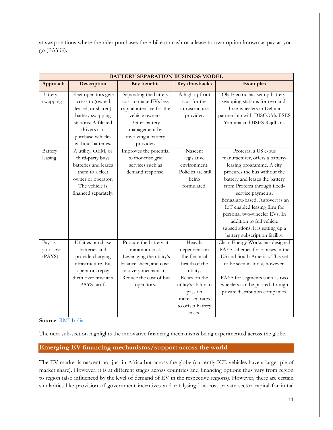at swap stations where the rider purchases the e-bike on cash or a lease-to-own option known as pay-as-yougo (PAYG).

|          | <b>BATTERY SEPARATION BUSINESS MODEL</b> |                           |                      |                                   |  |
|----------|------------------------------------------|---------------------------|----------------------|-----------------------------------|--|
| Approach | Description                              | Key benefits              | Key drawbacks        | <b>Examples</b>                   |  |
| Battery  | Fleet operators give                     | Separating the battery    | A high upfront       | Ola Electric has set up battery-  |  |
| swapping | access to (owned,                        | cost to make EVs less     | cost for the         | swapping stations for two-and-    |  |
|          | leased, or shared)                       | capital intensive for the | infrastructure       | three-wheelers in Delhi in        |  |
|          | battery swapping                         | vehicle owners.           | provider.            | partnership with DISCOMs BSES     |  |
|          | stations. Affiliated                     | Better battery            |                      | Yamuna and BSES Rajdhani.         |  |
|          | drivers can                              | management by             |                      |                                   |  |
|          | purchase vehicles                        | involving a battery       |                      |                                   |  |
|          | without batteries.                       | provider.                 |                      |                                   |  |
| Battery  | A utility, OEM, or                       | Improves the potential    | Nascent              | Proterra, a US e-bus              |  |
| leasing  | third-party buys                         | to monetise grid          | legislative          | manufacturer, offers a battery-   |  |
|          | batteries and leases                     | services such as          | environment.         | leasing programme. A city         |  |
|          | them to a fleet                          | demand response.          | Policies are still   | procures the bus without the      |  |
|          | owner or operator.                       |                           | being                | battery and leases the battery    |  |
|          | The vehicle is                           |                           | formulated.          | from Proterra through fixed-      |  |
|          | financed separately.                     |                           |                      | service payments.                 |  |
|          |                                          |                           |                      | Bengaluru-based, Autovert is an   |  |
|          |                                          |                           |                      | IoT enabled leasing firm for      |  |
|          |                                          |                           |                      | personal two-wheeler EVs. In      |  |
|          |                                          |                           |                      | addition to full vehicle          |  |
|          |                                          |                           |                      | subscriptions, it is setting up a |  |
|          |                                          |                           |                      | battery subscription facility.    |  |
| Pay-as-  | Utilities purchase                       | Procure the battery at    | Heavily              | Clean Energy Works has designed   |  |
| you-save | batteries and                            | minimum cost.             | dependent on         | PAYS schemes for e-buses in the   |  |
| (PAYS)   | provide charging                         | Leveraging the utility's  | the financial        | US and South America. This yet    |  |
|          | infrastructure. Bus                      | balance sheet, and cost-  | health of the        | to be seen in India, however.     |  |
|          | operators repay                          | recovery mechanisms.      | utility.             |                                   |  |
|          | them over time at a                      | Reduce the cost of bus    | Relies on the        | PAYS for segments such as two-    |  |
|          | PAYS tariff.                             | operators.                | utility's ability to | wheelers can be piloted through   |  |
|          |                                          |                           | pass on              | private distribution companies.   |  |
|          |                                          |                           | increased rates      |                                   |  |
|          |                                          |                           | to offset battery    |                                   |  |
|          |                                          |                           | costs.               |                                   |  |

**Source**[: RMI India](https://www.rmi-india.org/insight/mobilising-finance-for-evs-in-india)

The next sub-section highlights the innovative financing mechanisms being experimented across the globe.

#### <span id="page-10-0"></span>**Emerging EV financing mechanisms/support across the world**

The EV market is nascent not just in Africa but across the globe (currently ICE vehicles have a larger pie of market share). However, it is at different stages across countries and financing options thus vary from region to region (also influenced by the level of demand of EV in the respective regions). However, there are certain similarities like provision of government incentives and catalysing low-cost private sector capital for initial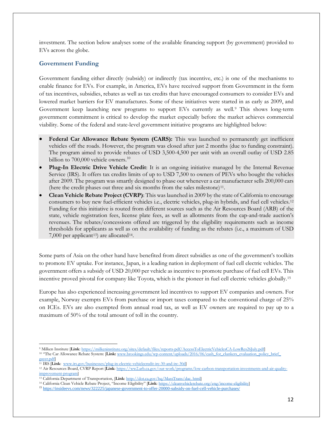investment. The section below analyses some of the available financing support (by government) provided to EVs across the globe.

#### <span id="page-11-0"></span>**Government Funding**

Government funding either directly (subsidy) or indirectly (tax incentive, etc.) is one of the mechanisms to enable finance for EVs. For example, in America, EVs have received support from Government in the form of tax incentives, subsidies, rebates as well as tax credits that have encouraged consumers to consider EVs and lowered market barriers for EV manufactures. Some of these initiatives were started in as early as 2009, and Government keep launching new programs to support EVs currently as well.[9](#page-11-1) This shows long-term government commitment is critical to develop the market especially before the market achieves commercial viability. Some of the federal and state-level government initiative programs are highlighted below:

- **Federal Car Allowance Rebate System (CARS):** This was launched to permanently get inefficient vehicles off the roads. However, the program was closed after just 2 months (due to funding constraint). The program aimed to provide rebates of USD 3,500-4,500 per unit with an overall outlay of USD 2.85 billion to 700,000 vehicle owners.<sup>[10](#page-11-2)</sup>
- **Plug-In Electric Drive Vehicle Credit**: It is an ongoing initiative managed by the Internal Revenue Service (IRS). It offers tax credits limits of up to USD 7,500 to owners of PEVs who bought the vehicles after 2009. The program was smartly designed to phase out whenever a car manufacturer sells 200,000 cars (here the credit phases out three and six months from the sales milestone)<sup>11</sup>.
- **Clean Vehicle Rebate Project (CVRP)**: This was launched in 2009 by the state of California to encourage consumers to buy new fuel-efficient vehicles i.e., electric vehicles, plug-in hybrids, and fuel cell vehicles.[12](#page-11-4) Funding for this initiative is routed from different sources such as the Air Resources Board (ARB) of the state, vehicle registration fees, license plate fees, as well as allotments from the cap-and-trade auction's revenues. The rebates/concessions offered are triggered by the eligibility requirements such as income thresholds for applicants as well as on the availability of funding as the rebates (i.e., a maximum of USD 7,000 per applicant<sup>13</sup>) are allocated<sup>14</sup>.

Some parts of Asia on the other hand have benefited from direct subsidies as one of the government's toolkits to promote EV uptake. For instance, Japan, is a leading nation in deployment of fuel cell electric vehicles. The government offers a subsidy of USD 20,000 per vehicle as incentive to promote purchase of fuel cell EVs. This incentive proved pivotal for company like Toyota, which is the pioneer in fuel cell electric vehicles globally.[15](#page-11-7)

Europe has also experienced increasing government led incentives to support EV companies and owners. For example, Norway exempts EVs from purchase or import taxes compared to the conventional charge of 25% on ICEs. EVs are also exempted from annual road tax, as well as EV owners are required to pay up to a maximum of 50% of the total amount of toll in the country.

<span id="page-11-3"></span><span id="page-11-2"></span> $gayer.pdf$ <br><sup>11</sup> IRS [**Link**: www.irs.gov/busines

l

<span id="page-11-1"></span><sup>9</sup> Milken Institute [**Link**[: https://milkeninstitute.org/sites/default/files/reports-pdf/AccessToElectricVehiclesCA-LowRes26July.pdf\]](https://milkeninstitute.org/sites/default/files/reports-pdf/AccessToElectricVehiclesCA-LowRes26July.pdf) <sup>10</sup> "The Car Allowance Rebate System: [Link: www.brookings.edu/wp-content/uploads/2016/06/cash\_for\_clunkers\_evaluation\_policy\_brief\_

<span id="page-11-4"></span><sup>&</sup>lt;sup>11</sup> IRS [Link: [www.irs.gov/businesses/plug-in-electric-vehiclecredit-irc-30-and-irc-30d\]](http://www.irs.gov/businesses/plug-in-electric-vehiclecredit-irc-30-and-irc-30d)<br><sup>12</sup> Air Resources Board, CVRP Report [Link: https://ww2.arb.ca.gov/our-work/programs/low-carbon-transportation-investments-and-air[improvement-program\]](https://ww2.arb.ca.gov/our-work/programs/low-carbon-transportation-investments-and-air-quality-improvement-program)

<span id="page-11-5"></span><sup>13</sup> California Department of Transportation, [**Link**[: http://dot.ca.gov/hq/MassTrans/dac. html\]](http://dot.ca.gov/hq/MassTrans/dac.%20html)

<span id="page-11-6"></span><sup>14</sup> California Clean Vehicle Rebate Project, "Income Eligibility" [**Link**[: https://cleanvehiclerebate.org/eng/income-eligibility\]](https://cleanvehiclerebate.org/eng/income-eligibility) 

<span id="page-11-7"></span><sup>&</sup>lt;sup>15</sup> <https://insideevs.com/news/322225/japanese-government-to-offer-20000-subsidy-on-fuel-cell-vehicle-purchases/>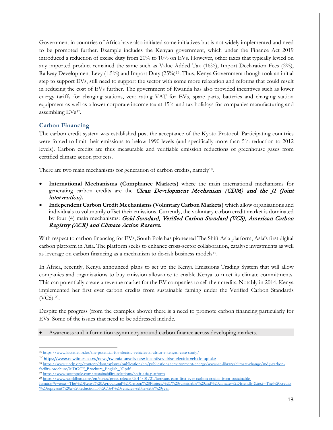Government in countries of Africa have also initiated some initiatives but is not widely implemented and need to be promoted further. Example includes the Kenyan government, which under the Finance Act 2019 introduced a reduction of excise duty from 20% to 10% on EVs. However, other taxes that typically levied on any imported product remained the same such as Value Added Tax (16%), Import Declaration Fees (2%), Railway Development Levy (1.5%) and Import Duty (25%)[16](#page-12-1). Thus, Kenya Government though took an initial step to support EVs, still need to support the sector with some more relaxation and reforms that could result in reducing the cost of EVs further. The government of Rwanda has also provided incentives such as lower energy tariffs for charging stations, zero rating VAT for EVs, spare parts, batteries and charging station equipment as well as a lower corporate income tax at 15% and tax holidays for companies manufacturing and assembling EVs[17](#page-12-2).

### <span id="page-12-0"></span>**Carbon Financing**

The carbon credit system was established post the acceptance of the Kyoto Protocol. Participating countries were forced to limit their emissions to below 1990 levels (and specifically more than 5% reduction to 2012 levels). Carbon credits are thus measurable and verifiable emission reductions of greenhouse gases from certified climate action projects.

There are two main mechanisms for generation of carbon credits, namely<sup>[18](#page-12-3)</sup>.

- **International Mechanisms (Compliance Markets)** where the main international mechanisms for generating carbon credits are the *Clean Development Mechanism (CDM)* and the *JI (Joint* intervention).
- **Independent Carbon Credit Mechanisms (Voluntary Carbon Markets)** which allow organisations and individuals to voluntarily offset their emissions. Currently, the voluntary carbon credit market is dominated by four (4) main mechanisms: Gold Standard, Verified Carbon Standard (VCS), American Carbon Registry (ACR) and Climate Action Reserve.

With respect to carbon financing for EVs, South Pole has pioneered The Shift Asia platform, Asia's first digital carbon platform in Asia. The platform seeks to enhance cross-sector collaboration, catalyse investments as well as leverage on carbon financing as a mechanism to de-risk business models<sup>19</sup>.

In Africa, recently, Kenya announced plans to set up the Kenya Emissions Trading System that will allow companies and organizations to buy emission allowance to enable Kenya to meet its climate commitments. This can potentially create a revenue market for the EV companies to sell their credits. Notably in 2014, Kenya implemented her first ever carbon credits from sustainable faming under the Verified Carbon Standards (VCS).[20.](#page-12-5)

Despite the progress (from the examples above) there is a need to promote carbon financing particularly for EVs. Some of the issues that need to be addressed include.

• Awareness and information asymmetry around carbon finance across developing markets.

l <sup>16</sup> <https://www.kictanet.or.ke/the-potential-for-electric-vehicles-in-africa-a-kenyan-case-study/>

<span id="page-12-2"></span><span id="page-12-1"></span><sup>17</sup> <https://www.newtimes.co.rw/news/rwanda-unveils-new-incentives-drive-electric-vehicle-uptake>

<span id="page-12-3"></span><sup>18</sup> [https://www.undp.org/content/dam/aplaws/publication/en/publications/environment-energy/www-ee-library/climate-change/mdg-carbon](https://www.undp.org/content/dam/aplaws/publication/en/publications/environment-energy/www-ee-library/climate-change/mdg-carbon-facility-brochure/MDGCF_Brochure_English_07.pdf)[facility-brochure/MDGCF\\_Brochure\\_English\\_07.pdf](https://www.undp.org/content/dam/aplaws/publication/en/publications/environment-energy/www-ee-library/climate-change/mdg-carbon-facility-brochure/MDGCF_Brochure_English_07.pdf)

<span id="page-12-5"></span><span id="page-12-4"></span><sup>19</sup> <https://www.southpole.com/sustainability-solutions/shift-asia-platform>

<sup>20</sup> [https://www.worldbank.org/en/news/press-release/2014/01/21/kenyans-earn-first-ever-carbon-credits-from-sustainable-](https://www.worldbank.org/en/news/press-release/2014/01/21/kenyans-earn-first-ever-carbon-credits-from-sustainable-farming#:%7E:text=The%20Kenya%20Agricultural%20Carbon%20Project,%2C%20sustainable%20and%20climate%2Dfriendly.&text=The%20credits%20represent%20a%20reduction,5%2C164%20vehicles%20in%20a%20year)

[farming#:~:text=The%20Kenya%20Agricultural%20Carbon%20Project,%2C%20sustainable%20and%20climate%2Dfriendly.&text=The%20credits](https://www.worldbank.org/en/news/press-release/2014/01/21/kenyans-earn-first-ever-carbon-credits-from-sustainable-farming#:%7E:text=The%20Kenya%20Agricultural%20Carbon%20Project,%2C%20sustainable%20and%20climate%2Dfriendly.&text=The%20credits%20represent%20a%20reduction,5%2C164%20vehicles%20in%20a%20year) [%20represent%20a%20reduction,5%2C164%20vehicles%20in%20a%20year.](https://www.worldbank.org/en/news/press-release/2014/01/21/kenyans-earn-first-ever-carbon-credits-from-sustainable-farming#:%7E:text=The%20Kenya%20Agricultural%20Carbon%20Project,%2C%20sustainable%20and%20climate%2Dfriendly.&text=The%20credits%20represent%20a%20reduction,5%2C164%20vehicles%20in%20a%20year)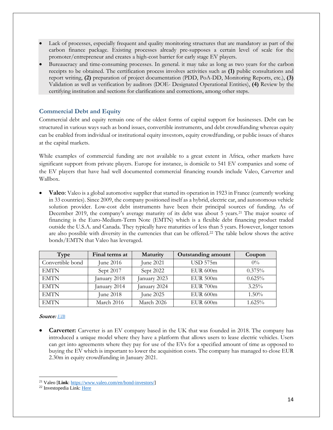- Lack of processes, especially frequent and quality monitoring structures that are mandatory as part of the carbon finance package. Existing processes already pre-supposes a certain level of scale for the promoter/entrepreneur and creates a high-cost barrier for early stage EV players.
- Bureaucracy and time-consuming processes. In general. it may take as long as two years for the carbon receipts to be obtained. The certification process involves activities such as **(1)** public consultations and report writing, **(2)** preparation of project documentation (PDD, PoA-DD, Monitoring Reports, etc.), **(3)** Validation as well as verification by auditors (DOE- Designated Operational Entities), **(4)** Review by the certifying institution and sections for clarifications and corrections, among other steps.

## <span id="page-13-0"></span>**Commercial Debt and Equity**

Commercial debt and equity remain one of the oldest forms of capital support for businesses. Debt can be structured in various ways such as bond issues, convertible instruments, and debt crowdfunding whereas equity can be enabled from individual or institutional equity investors, equity crowdfunding, or public issues of shares at the capital markets.

While examples of commercial funding are not available to a great extent in Africa, other markets have significant support from private players. Europe for instance, is domicile to 541 EV companies and some of the EV players that have had well documented commercial financing rounds include Valeo, Carverter and Wallbox.

**Valeo**: Valeo is a global automotive supplier that started its operation in 1923 in France (currently working in 33 countries). Since 2009, the company positioned itself as a hybrid, electric car, and autonomous vehicle solution provider. Low-cost debt instruments have been their principal sources of funding. As of December 2019, the company's average maturity of its debt was about 5 years.<sup>[21](#page-13-1)</sup> The major source of financing is the Euro-Medium-Term Note (EMTN) which is a flexible debt financing product traded outside the U.S.A. and Canada. They typically have maturities of less than 5 years. However, longer tenors are also possible with diversity in the currencies that can be offered.[22](#page-13-2) The table below shows the active bonds/EMTN that Valeo has leveraged.

| Type             | Final terms at   | Maturity     | <b>Outstanding amount</b> | Coupon   |
|------------------|------------------|--------------|---------------------------|----------|
| Convertible bond | June $2016$      | June 2021    | <b>USD 575m</b>           | $0\%$    |
| <b>EMTN</b>      | Sept 2017        | Sept 2022    | EUR 600m                  | 0.375%   |
| <b>EMTN</b>      | January 2018     | January 2023 | EUR 500m                  | 0.625%   |
| <b>EMTN</b>      | January 2014     | January 2024 | <b>EUR 700m</b>           | 3.25%    |
| <b>EMTN</b>      | <b>June 2018</b> | June 2025    | EUR 600m                  | $1.50\%$ |
| <b>EMTN</b>      | March 2016       | March 2026   | <b>EUR 600m</b>           | 1.625%   |

#### Source: *[EIB](https://www.eib.org/attachments/pj/access_to_finance_study_on_innovative_road_transport_en.pdf)*

 $\overline{a}$ 

**Carverter:** Carverter is an EV company based in the UK that was founded in 2018. The company has introduced a unique model where they have a platform that allows users to lease electric vehicles. Users can get into agreements where they pay for use of the EVs for a specified amount of time as opposed to buying the EV which is important to lower the acquisition costs. The company has managed to close EUR 2.30m in equity crowdfunding in January 2021.

<span id="page-13-1"></span><sup>21</sup> Valeo [**Link**: [https://www.valeo.com/en/bond-investors/\]](https://www.valeo.com/en/bond-investors/)

<span id="page-13-2"></span><sup>&</sup>lt;sup>22</sup> Investopedia Link[: Here](https://www.investopedia.com/terms/e/emtn.asp#:%7E:text=A%20euro%20medium%2Dterm%20note%20(EMTN)%20is%20a%20medium,federal%20agencies%2C%20and%20sovereign%20nations)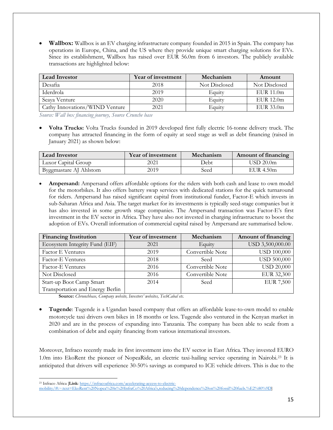• **Wallbox:** Wallbox is an EV charging infrastructure company founded in 2015 in Spain. The company has operations in Europe, China, and the US where they provide unique smart charging solutions for EVs. Since its establishment, Wallbox has raised over EUR 56.0m from 6 investors. The publicly available transactions are highlighted below:

| <b>Lead Investor</b>           | Year of investment | Mechanism     | Amount         |
|--------------------------------|--------------------|---------------|----------------|
| Desafia                        | 2018               | Not Disclosed | Not Disclosed  |
| Iderdrola                      | 2019               | Equity        | $EUR$ 11.0 $m$ |
| Seaya Venture                  | 2020               | Equity        | E IIR 12.0m    |
| Cathy Innovations/WIND Venture | 2021               | Equity        | EUR 33.0m      |

*Source: Wall box financing journey, Source Crunche base*

• **Volta Trucks:** Volta Trucks founded in 2019 developed first fully electric 16-tonne delivery truck. The company has attracted financing in the form of equity at seed stage as well as debt financing (raised in January 2021) as shown below:

| <b>Lead Investor</b>   | Year of investment | Mechanism | Amount of financing   |
|------------------------|--------------------|-----------|-----------------------|
| Luxor Capital Group    | 2021               | Debt      | USD 20.0 <sub>m</sub> |
| Byggmastare AJ Ahlstom | 2019               | Seed      | EUR $4.50m$           |

• **Ampersand:** Ampersand offers affordable options for the riders with both cash and lease to own model for the motorbikes. It also offers battery swap services with dedicated stations for the quick turnaround for riders. Ampersand has raised significant capital from institutional funder, Factor-E which invests in sub-Saharan Africa and Asia. The target market for its investments is typically seed-stage companies but it has also invested in some growth stage companies. The Ampersand transaction was Factor-E's first investment in the EV sector in Africa. They have also not invested in charging infrastructure to boost the adoption of EVs. Overall information of commercial capital raised by Ampersand are summarised below.

| <b>Financing Institution</b>     | Year of investment | Mechanism        | Amount of financing |
|----------------------------------|--------------------|------------------|---------------------|
| Ecosystem Integrity Fund (EIF)   | 2021               | Equity           | USD 3,500,000.00    |
| <b>Factor E Ventures</b>         | 2019               | Convertible Note | <b>USD 100,000</b>  |
| Factor-E Ventures                | 2018               | Seed             | <b>USD 500,000</b>  |
| <b>Factor-E Ventures</b>         | 2016               | Convertible Note | <b>USD 20,000</b>   |
| Not Disclosed                    | 2016               | Convertible Note | EUR 32,300          |
| Start-up Boot Camp Smart         | 2014               | Seed             | <b>EUR 7,500</b>    |
| Transportation and Energy Berlin |                    |                  |                     |

**Source:** *Chrunchbase, Company website, Investors' websites, TechCabal etc.* 

• **Tugende**: Tugende is a Ugandan based company that offers an affordable lease-to-own model to enable motorcycle taxi drivers own bikes in 18 months or less. Tugende also ventured in the Kenyan market in 2020 and are in the process of expanding into Tanzania. The company has been able to scale from a combination of debt and equity financing from various international investors.

Moreover, Infraco recently made its first investment into the EV sector in East Africa. They invested EURO 1.0m into EkoRent the pioneer of NopeaRide, an electric taxi-hailing service operating in Nairobi.[23](#page-14-0) It is anticipated that drivers will experience 30-50% savings as compared to ICE vehicle drivers. This is due to the

<span id="page-14-0"></span> $\overline{a}$ <sup>23</sup> Infraco Africa [**Link**[: https://infracoafrica.com/accelerating-access-to-electric-](https://infracoafrica.com/accelerating-access-to-electric-mobility/#:%7E:text=EkoRent%20Nopea%20is%20InfraCo%20Africa)

[mobility/#:~:text=EkoRent%20Nopea%20is%20InfraCo%20Africa's,reducing%20dependence%20on%20fossil%20fuels.%E2%80%9D\]](https://infracoafrica.com/accelerating-access-to-electric-mobility/#:%7E:text=EkoRent%20Nopea%20is%20InfraCo%20Africa)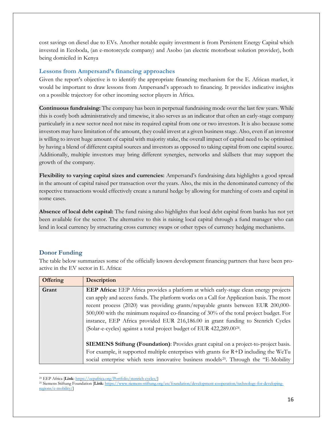cost savings on diesel due to EVs. Another notable equity investment is from Persistent Energy Capital which invested in Ecoboda, (an e-motorcycle company) and Asobo (an electric motorboat solution provider), both being domiciled in Kenya

#### **Lessons from Ampersand's financing approaches**

Given the report's objective is to identify the appropriate financing mechanism for the E. African market, it would be important to draw lessons from Ampersand's approach to financing. It provides indicative insights on a possible trajectory for other incoming sector players in Africa.

**Continuous fundraising:** The company has been in perpetual fundraising mode over the last few years. While this is costly both administratively and timewise, it also serves as an indicator that often an early-stage company particularly in a new sector need not raise its required capital from one or two investors. It is also because some investors may have limitation of the amount, they could invest at a given business stage. Also, even if an investor is willing to invest huge amount of capital with majority stake, the overall impact of capital need to be optimised by having a blend of different capital sources and investors as opposed to taking capital from one capital source. Additionally, multiple investors may bring different synergies, networks and skillsets that may support the growth of the company.

**Flexibility to varying capital sizes and currencies:** Ampersand's fundraising data highlights a good spread in the amount of capital raised per transaction over the years. Also, the mix in the denominated currency of the respective transactions would effectively create a natural hedge by allowing for matching of costs and capital in some cases.

**Absence of local debt capital:** The fund raising also highlights that local debt capital from banks has not yet been available for the sector. The alternative to this is raising local capital through a fund manager who can lend in local currency by structuring cross currency swaps or other types of currency hedging mechanisms.

### <span id="page-15-0"></span>**Donor Funding**

The table below summarizes some of the officially known development financing partners that have been proactive in the EV sector in E. Africa:

| <b>Offering</b> | <b>Description</b>                                                                                                                                                                                                                                                                                                                                                     |
|-----------------|------------------------------------------------------------------------------------------------------------------------------------------------------------------------------------------------------------------------------------------------------------------------------------------------------------------------------------------------------------------------|
| Grant           | <b>EEP Africa:</b> EEP Africa provides a platform at which early-stage clean energy projects<br>can apply and access funds. The platform works on a Call for Application basis. The most<br>recent process (2020) was providing grants/repayable grants between EUR 200,000-<br>500,000 with the minimum required co-financing of 30% of the total project budget. For |
|                 | instance, EEP Africa provided EUR 216,186.00 in grant funding to Stenrich Cycles<br>(Solar-e-cycles) against a total project budget of EUR 422,289.00 <sup>24</sup> .<br>SIEMENS Stiftung (Foundation): Provides grant capital on a project-to-project basis.                                                                                                          |
|                 | For example, it supported multiple enterprises with grants for $R+D$ including the WeTu<br>social enterprise which tests innovative business models <sup>25</sup> . Through the "E-Mobility                                                                                                                                                                            |

 $\overline{a}$ <sup>24</sup> EEP Africa [**Link**[: https://eepafrica.org/Portfolio/stenrich-cycles/\]](https://eepafrica.org/Portfolio/stenrich-cycles/)

<span id="page-15-2"></span><span id="page-15-1"></span><sup>25</sup> Siemens Stiftung Foundation [**Link**[: https://www.siemens-stiftung.org/en/foundation/development-cooperation/technology-for-developing](https://www.siemens-stiftung.org/en/foundation/development-cooperation/technology-for-developing-regions/e-mobility/)[regions/e-mobility/\]](https://www.siemens-stiftung.org/en/foundation/development-cooperation/technology-for-developing-regions/e-mobility/)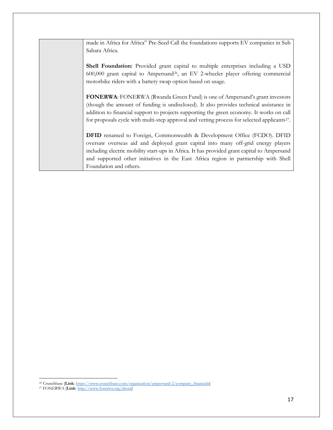made in Africa for Africa" Pre-Seed Call the foundations supports EV companies in Sub Sahara Africa. **Shell Foundation:** Provided grant capital to multiple enterprises including a USD 600,000 grant capital to Ampersand<sup>[26](#page-16-0)</sup>, an EV 2-wheeler player offering commercial motorbike riders with a battery swap option based on usage. **FONERWA**: FONERWA (Rwanda Green Fund) is one of Ampersand's grant investors (though the amount of funding is undisclosed). It also provides technical assistance in addition to financial support to projects supporting the green economy. It works on call for proposals cycle with multi-step approval and vetting process for selected applicants<sup>27</sup>. **DFID** renamed to Foreign, Commonwealth & Development Office (FCDO). DFID oversaw overseas aid and deployed grant capital into many off-grid energy players including electric mobility start-ups in Africa. It has provided grant capital to Ampersand and supported other initiatives in the East Africa region in partnership with Shell Foundation and others.

 $\overline{a}$ <sup>26</sup> Crunchbase [**Link**[: https://www.crunchbase.com/organization/ampersand-2/company\\_financials\]](https://www.crunchbase.com/organization/ampersand-2/company_financials)

<span id="page-16-1"></span><span id="page-16-0"></span><sup>27</sup> FONERWA [**Link**[: http://www.fonerwa.org/about\]](http://www.fonerwa.org/about)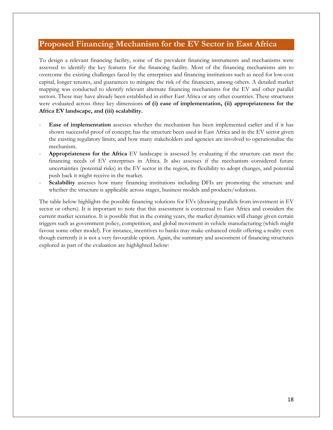# <span id="page-17-0"></span>**Proposed Financing Mechanism for the EV Sector in East Africa**

To design a relevant financing facility, some of the prevalent financing instruments and mechanisms were assessed to identify the key features for the financing facility. Most of the financing mechanisms aim to overcome the existing challenges faced by the enterprises and financing institutions such as need for low-cost capital, longer tenures, and guarantees to mitigate the risk of the financiers, among others. A detailed market mapping was conducted to identify relevant alternate financing mechanisms for the EV and other parallel sectors. These may have already been established in either East Africa or any other countries. These structures were evaluated across three key dimensions **of (i) ease of implementation, (ii) appropriateness for the Africa EV landscape, and (iii) scalability.**

- Ease of implementation assesses whether the mechanism has been implemented earlier and if it has shown successful proof of concept; has the structure been used in East Africa and in the EV sector given the existing regulatory limits; and how many stakeholders and agencies are involved to operationalize the mechanism.
- **Appropriateness for the Africa** EV landscape is assessed by evaluating if the structure can meet the financing needs of EV enterprises in Africa. It also assesses if the mechanism considered future uncertainties (potential risks) in the EV sector in the region, its flexibility to adopt changes, and potential push back it might receive in the market.
- Scalability assesses how many financing institutions including DFIs are promoting the structure and whether the structure is applicable across stages, business models and products/solutions.

The table below highlights the possible financing solutions for EVs (drawing parallels from investment in EV sector or others). It is important to note that this assessment is contextual to East Africa and considers the current market scenarios. It is possible that in the coming years, the market dynamics will change given certain triggers such as government policy, competition, and global movement in vehicle manufacturing (which might favour some other model). For instance, incentives to banks may make enhanced credit offering a reality even though currently it is not a very favourable option. Again, the summary and assessment of financing structures explored as part of the evaluation are highlighted below: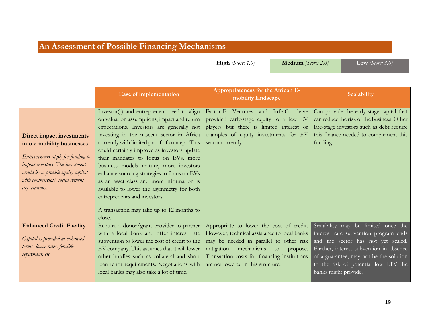# **An Assessment of Possible Financing Mechanisms**

**High** *[Score: 1.0]* **Medium** *[Score: 2.0]* **Low** *[Score: 3.0]*

<span id="page-18-0"></span>

|                                         | Ease of implementation                                                                     | Appropriateness for the African E-<br>mobility landscape   | Scalability                                        |
|-----------------------------------------|--------------------------------------------------------------------------------------------|------------------------------------------------------------|----------------------------------------------------|
|                                         | Investor(s) and entrepreneur need to align                                                 | Factor-E Ventures and InfraCo have                         | Can provide the early-stage capital that           |
|                                         | on valuation assumptions, impact and return                                                | provided early-stage equity to a few EV                    | can reduce the risk of the business. Other         |
|                                         | expectations. Investors are generally not                                                  | players but there is limited interest or                   | late-stage investors such as debt require          |
| <b>Direct impact investments</b>        | investing in the nascent sector in Africa<br>currently with limited proof of concept. This | examples of equity investments for EV<br>sector currently. | this finance needed to complement this<br>funding. |
| into e-mobility businesses              | could certainly improve as investors update                                                |                                                            |                                                    |
| Entrepreneurs apply for funding to      | their mandates to focus on EVs, more                                                       |                                                            |                                                    |
| <i>impact investors. The investment</i> | business models mature, more investors                                                     |                                                            |                                                    |
| would be to provide equity capital      | enhance sourcing strategies to focus on EVs                                                |                                                            |                                                    |
| with commercial/ social returns         | as an asset class and more information is                                                  |                                                            |                                                    |
| expectations.                           | available to lower the asymmetry for both                                                  |                                                            |                                                    |
|                                         | entrepreneurs and investors.                                                               |                                                            |                                                    |
|                                         | A transaction may take up to 12 months to                                                  |                                                            |                                                    |
|                                         | close.                                                                                     |                                                            |                                                    |
| <b>Enhanced Credit Facility</b>         | Require a donor/grant provider to partner                                                  | Appropriate to lower the cost of credit.                   | Scalability may be limited once the                |
|                                         | with a local bank and offer interest rate                                                  | However, technical assistance to local banks               | interest rate subvention program ends              |
| Capital is provided at enhanced         | subvention to lower the cost of credit to the                                              | may be needed in parallel to other risk                    | and the sector has not yet scaled.                 |
| terms-lower rates, flexible             | EV company. This assumes that it will lower                                                | mitigation<br>mechanisms<br>to<br>propose.                 | Further, interest subvention in absence            |
| repayment, etc.                         | other hurdles such as collateral and short                                                 | Transaction costs for financing institutions               | of a guarantee, may not be the solution            |
|                                         | loan tenor requirements. Negotiations with                                                 | are not lowered in this structure.                         | to the risk of potential low LTV the               |
|                                         | local banks may also take a lot of time.                                                   |                                                            | banks might provide.                               |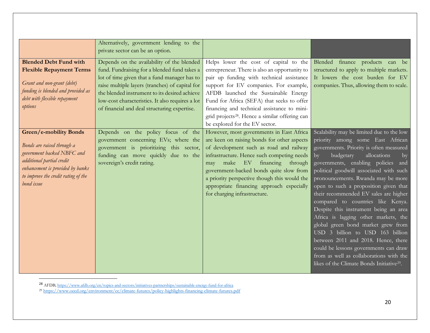<span id="page-19-1"></span><span id="page-19-0"></span>

|                                         | Alternatively, government lending to the                          |                                                                                            |                                                                                                   |
|-----------------------------------------|-------------------------------------------------------------------|--------------------------------------------------------------------------------------------|---------------------------------------------------------------------------------------------------|
|                                         | private sector can be an option.                                  |                                                                                            |                                                                                                   |
| <b>Blended Debt Fund with</b>           | Depends on the availability of the blended                        | Helps lower the cost of capital to the                                                     | Blended finance products can be                                                                   |
| <b>Flexible Repayment Terms</b>         | fund. Fundraising for a blended fund takes a                      | entrepreneur. There is also an opportunity to                                              | structured to apply to multiple markets.                                                          |
|                                         | lot of time given that a fund manager has to                      | pair up funding with technical assistance                                                  | It lowers the cost burden for EV                                                                  |
| Grant and non-grant (debt)              | raise multiple layers (tranches) of capital for                   | support for EV companies. For example,                                                     | companies. Thus, allowing them to scale.                                                          |
| funding is blended and provided as      | the blended instrument to its desired achieve                     | AFDB launched the Sustainable Energy                                                       |                                                                                                   |
| debt with flexible repayment<br>options | low-cost characteristics. It also requires a lot                  | Fund for Africa (SEFA) that seeks to offer                                                 |                                                                                                   |
|                                         | of financial and deal structuring expertise.                      | financing and technical assistance to mini-                                                |                                                                                                   |
|                                         |                                                                   | grid projects <sup>28</sup> . Hence a similar offering can                                 |                                                                                                   |
|                                         |                                                                   | be explored for the EV sector.                                                             |                                                                                                   |
| <b>Green/e-mobility Bonds</b>           | Depends on the policy focus of the                                | However, most governments in East Africa                                                   | Scalability may be limited due to the low                                                         |
| Bonds are raised through a              | government concerning EVs; where the                              | are keen on raising bonds for other aspects                                                | priority among some East African                                                                  |
| government backed NBFC and              | government is prioritizing this sector,                           | of development such as road and railway                                                    | governments. Priority is often measured                                                           |
| additional partial credit               | funding can move quickly due to the<br>sovereign's credit rating. | infrastructure. Hence such competing needs<br>$E$ V<br>financing<br>make<br>through<br>may | budgetary<br>allocations<br>$\mathbf{b}$<br>$\mathbf{b}$<br>governments, enabling policies<br>and |
| enhancement is provided by banks        |                                                                   | government-backed bonds quite slow from                                                    | political goodwill associated with such                                                           |
| to improve the credit rating of the     |                                                                   | a priority perspective though this would the                                               | pronouncements. Rwanda may be more                                                                |
| bond issue                              |                                                                   | appropriate financing approach especially                                                  | open to such a proposition given that                                                             |
|                                         |                                                                   | for charging infrastructure.                                                               | their recommended EV sales are higher                                                             |
|                                         |                                                                   |                                                                                            | compared to countries like Kenya.                                                                 |
|                                         |                                                                   |                                                                                            | Despite this instrument being an area                                                             |
|                                         |                                                                   |                                                                                            | Africa is lagging other markets, the                                                              |
|                                         |                                                                   |                                                                                            | global green bond market grew from                                                                |
|                                         |                                                                   |                                                                                            | USD 3 billion to USD 163 billion                                                                  |
|                                         |                                                                   |                                                                                            | between 2011 and 2018. Hence, there                                                               |
|                                         |                                                                   |                                                                                            | could be lessons governments can draw                                                             |
|                                         |                                                                   |                                                                                            | from as well as collaborations with the                                                           |
|                                         |                                                                   |                                                                                            | likes of the Climate Bonds Initiative <sup>29</sup> .                                             |
|                                         |                                                                   |                                                                                            |                                                                                                   |

 <sup>28</sup> AFDB[; https://www.afdb.org/en/topics-and-sectors/initiatives-partnerships/sustainable-energy-fund-for-africa](https://www.afdb.org/en/topics-and-sectors/initiatives-partnerships/sustainable-energy-fund-for-africa)

<sup>29</sup> <https://www.oecd.org/environment/cc/climate-futures/policy-highlights-financing-climate-futures.pdf>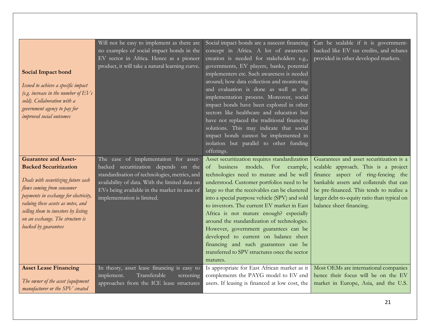| <b>Social Impact bond</b><br>Issued to achieve a specific impact<br>(e.g. increase in the number of $EVs$<br>sold). Collaboration with a<br>government agency to pay for<br><i>improved</i> social outcomes                                                                                                         | Will not be easy to implement as there are<br>no examples of social impact bonds in the<br>EV sector in Africa. Hence as a pioneer<br>product, it will take a natural learning curve.                                                                           | Social impact bonds are a nascent financing<br>concept in Africa. A lot of awareness<br>creation is needed for stakeholders e.g.,<br>governments, EV players, banks, potential<br>implementers etc. Such awareness is needed<br>around; how data collection and monitoring<br>and evaluation is done as well as the<br>implementation process. Moreover, social<br>impact bonds have been explored in other<br>sectors like healthcare and education but<br>have not replaced the traditional financing<br>solutions. This may indicate that social<br>impact bonds cannot be implemented in<br>isolation but parallel to other funding<br>offerings. | Can be scalable if it is government-<br>backed like EV tax credits, and rebates<br>provided in other developed markets.                                                                                                                                                                   |
|---------------------------------------------------------------------------------------------------------------------------------------------------------------------------------------------------------------------------------------------------------------------------------------------------------------------|-----------------------------------------------------------------------------------------------------------------------------------------------------------------------------------------------------------------------------------------------------------------|-------------------------------------------------------------------------------------------------------------------------------------------------------------------------------------------------------------------------------------------------------------------------------------------------------------------------------------------------------------------------------------------------------------------------------------------------------------------------------------------------------------------------------------------------------------------------------------------------------------------------------------------------------|-------------------------------------------------------------------------------------------------------------------------------------------------------------------------------------------------------------------------------------------------------------------------------------------|
| <b>Guarantee and Asset-</b><br><b>Backed Securitization</b><br>Deals with securitizing future cash<br>flows coming from consumer<br>payments in exchange for electricity,<br>valuing these assets as notes, and<br>selling them to investors by listing<br>on an exchange. The structure is<br>backed by guarantees | The ease of implementation for asset-<br>backed securitization depends on the<br>standardisation of technologies, metrics, and<br>availability of data. With the limited data on<br>EVs being available in the market its ease of<br>implementation is limited. | Asset securitization requires standardization<br>of business<br>models. For example,<br>technologies need to mature and be well<br>understood. Customer portfolios need to be<br>large so that the receivables can be clustered<br>into a special purpose vehicle (SPV) and sold<br>to investors. The current EV market in East<br>Africa is not mature enough? especially<br>around the standardization of technologies.<br>However, government guarantees can be<br>developed to current on balance sheet<br>financing and such guarantees can be<br>transferred to SPV structures once the sector<br>matures.                                      | Guarantees and asset securitization is a<br>scalable approach. This is a project<br>finance aspect of ring-fencing the<br>bankable assets and collaterals that can<br>be pre-financed. This tends to realize a<br>larger debt-to-equity ratio than typical on<br>balance sheet financing. |
| <b>Asset Lease Financing</b><br>The owner of the asset (equipment<br>manufacturer or the SPV created                                                                                                                                                                                                                | In theory, asset lease financing is easy to<br>Transferable<br>implement.<br>screening<br>approaches from the ICE lease structures                                                                                                                              | Is appropriate for East African market as it<br>complements the PAYG model to EV end<br>users. If leasing is financed at low cost, the                                                                                                                                                                                                                                                                                                                                                                                                                                                                                                                | Most OEMs are international companies<br>hence their focus will be on the EV<br>market in Europe, Asia, and the U.S.                                                                                                                                                                      |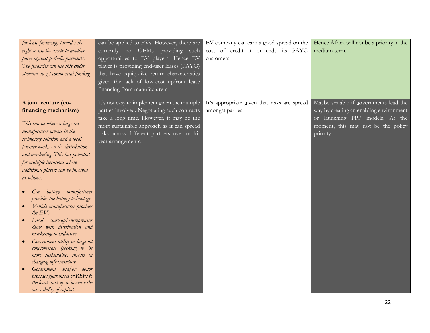| for lease financing) provides the<br>right to use the assets to another<br>party against periodic payments.<br>The financier can use this credit<br>structure to get commercial funding                                                                                                                                                                                                                                                                                                                                                                                                                                                                                                                                                                                              | can be applied to EVs. However, there are<br>currently no OEMs providing such<br>opportunities to EV players. Hence EV<br>player is providing end-user leases (PAYG)<br>that have equity-like return characteristics<br>given the lack of low-cost upfront lease<br>financing from manufacturers. | EV company can earn a good spread on the<br>cost of credit it on-lends its PAYG<br>customers. | Hence Africa will not be a priority in the<br>medium term.                                                                                                              |
|--------------------------------------------------------------------------------------------------------------------------------------------------------------------------------------------------------------------------------------------------------------------------------------------------------------------------------------------------------------------------------------------------------------------------------------------------------------------------------------------------------------------------------------------------------------------------------------------------------------------------------------------------------------------------------------------------------------------------------------------------------------------------------------|---------------------------------------------------------------------------------------------------------------------------------------------------------------------------------------------------------------------------------------------------------------------------------------------------|-----------------------------------------------------------------------------------------------|-------------------------------------------------------------------------------------------------------------------------------------------------------------------------|
| A joint venture (co-<br>financing mechanism)<br>This can be where a large car<br>manufacturer invests in the<br>technology solution and a local<br>partner works on the distribution<br>and marketing. This has potential<br>for multiple iterations where<br>additional players can be involved<br>as follows:<br>battery manufacturer<br>Car<br>provides the battery technology<br>Vehicle manufacturer provides<br>the $EVs$<br>Local start-up/entrepreneur<br>deals with distribution and<br>marketing to end-users<br>Government utility or large oil<br>conglomerate (seeking to be<br>more sustainable) invests in<br>charging infrastructure<br>Government and/or donor<br>provides guarantees or RBFs to<br>the local start-up to increase the<br>accessibility of capital. | It's not easy to implement given the multiple<br>parties involved. Negotiating such contracts<br>take a long time. However, it may be the<br>most sustainable approach as it can spread<br>risks across different partners over multi-<br>year arrangements.                                      | It's appropriate given that risks are spread<br>amongst parties.                              | Maybe scalable if governments lead the<br>way by creating an enabling environment<br>or launching PPP models. At the<br>moment, this may not be the policy<br>priority. |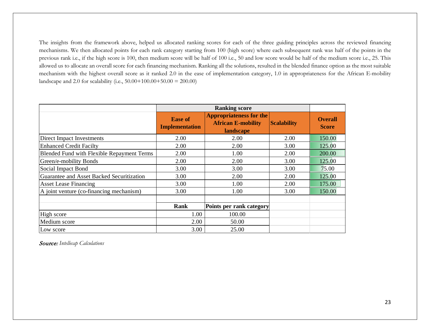The insights from the framework above, helped us allocated ranking scores for each of the three guiding principles across the reviewed financing mechanisms. We then allocated points for each rank category starting from 100 (high score) where each subsequent rank was half of the points in the previous rank i.e., if the high score is 100, then medium score will be half of 100 i.e., 50 and low score would be half of the medium score i.e., 25. This allowed us to allocate an overall score for each financing mechanism. Ranking all the solutions, resulted in the blended finance option as the most suitable mechanism with the highest overall score as it ranked 2.0 in the ease of implementation category, 1.0 in appropriateness for the African E-mobility landscape and 2.0 for scalability (i.e., 50.00+100.00+50.00 = 200.00)

|                                            | <b>Ease of</b><br><b>Implementation</b> | <b>Appropriateness for the</b><br><b>African E-mobility</b><br>landscape | <b>Scalability</b> | <b>Overall</b><br><b>Score</b> |
|--------------------------------------------|-----------------------------------------|--------------------------------------------------------------------------|--------------------|--------------------------------|
| Direct Impact Investments                  | 2.00                                    | 2.00                                                                     | 2.00               | 150.00                         |
| <b>Enhanced Credit Facilty</b>             | 2.00                                    | 2.00                                                                     | 3.00               | 125.00                         |
| Blended Fund with Flexible Repayment Terms | 2.00                                    | 1.00                                                                     | 2.00               | 200.00                         |
| Green/e-mobility Bonds                     | 2.00                                    | 2.00                                                                     | 3.00               | 125.00                         |
| Social Impact Bond                         | 3.00                                    | 3.00                                                                     | 3.00               | 75.00                          |
| Guarantee and Asset Backed Securitization  | 3.00                                    | 2.00                                                                     | 2.00               | 125.00                         |
| <b>Asset Lease Financing</b>               | 3.00                                    | 1.00                                                                     | 2.00               | 175.00                         |
| A joint venture (co-financing mechanism)   | 3.00                                    | 1.00                                                                     | 3.00               | 150.00                         |
|                                            | Rank                                    | Points per rank category                                                 |                    |                                |
| High score                                 | 1.00                                    | 100.00                                                                   |                    |                                |
| Medium score                               | 2.00                                    | 50.00                                                                    |                    |                                |
| Low score                                  | 3.00                                    | 25.00                                                                    |                    |                                |

Source: *Intellecap Calculations*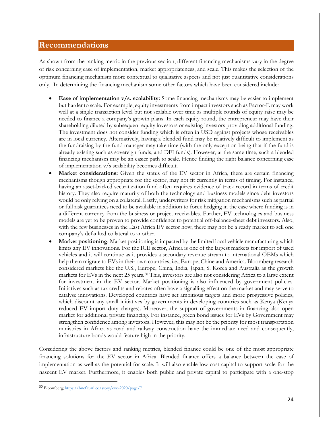## <span id="page-23-0"></span>**Recommendations**

As shown from the ranking metric in the previous section, different financing mechanisms vary in the degree of risk concerning ease of implementation, market appropriateness, and scale. This makes the selection of the optimum financing mechanism more contextual to qualitative aspects and not just quantitative considerations only. In determining the financing mechanism some other factors which have been considered include:

- **Ease of implementation v/s. scalability:** Some financing mechanisms may be easier to implement but harder to scale. For example, equity investments from impact investors such as Factor-E may work well at a single transaction level but not scalable over time as multiple rounds of equity raise may be needed to finance a company's growth plans. In each equity round, the entrepreneur may have their shareholding diluted by subsequent equity investors or existing investors providing additional funding. The investment does not consider funding which is often in USD against projects whose receivables are in local currency. Alternatively, having a blended fund may be relatively difficult to implement as the fundraising by the fund manager may take time (with the only exception being that if the fund is already existing such as sovereign funds, and DFI funds). However, at the same time, such a blended financing mechanism may be an easier path to scale. Hence finding the right balance concerning ease of implementation v/s scalability becomes difficult.
- Market considerations: Given the status of the EV sector in Africa, there are certain financing mechanisms though appropriate for the sector, may not fit currently in terms of timing. For instance, having an asset-backed securitization fund often requires evidence of track record in terms of credit history. They also require maturity of both the technology and business models since debt investors would be only relying on a collateral. Lastly, underwriters for risk mitigation mechanisms such as partial or full risk guarantees need to be available in addition to forex hedging in the case where funding is in a different currency from the business or project receivables. Further, EV technologies and business models are yet to be proven to provide confidence to potential off-balance-sheet debt investors. Also, with the few businesses in the East Africa EV sector now, there may not be a ready market to sell one company's defaulted collateral to another.
- **Market positioning**: Market positioning is impacted by the limited local vehicle manufacturing which limits any EV innovations. For the ICE sector, Africa is one of the largest markets for import of used vehicles and it will continue as it provides a secondary revenue stream to international OEMs which help them migrate to EVs in their own countries, i.e., Europe, Chine and America. Bloomberg research considered markets like the U.S., Europe, China, India, Japan, S. Korea and Australia as the growth markets for EVs in the next 25 years.<sup>[30](#page-23-1)</sup> This, investors are also not considering Africa to a large extent for investment in the EV sector. Market positioning is also influenced by government policies. Initiatives such as tax credits and rebates often have a signalling effect on the market and may serve to catalyse innovations. Developed countries have set ambitious targets and more progressive policies, which discount any small initiatives by governments in developing countries such as Kenya (Kenya reduced EV import duty charges). Moreover, the support of governments in financing also open market for additional private financing. For instance, green bond issues for EVs by Government may strengthen confidence among investors. However, this may not be the priority for most transportation ministries in Africa as road and railway construction have the immediate need and consequently, infrastructure bonds would feature high in the priority.

Considering the above factors and ranking metrics, blended finance could be one of the most appropriate financing solutions for the EV sector in Africa. Blended finance offers a balance between the ease of implementation as well as the potential for scale. It will also enable low-cost capital to support scale for the nascent EV market. Furthermore, it enables both public and private capital to participate with a one-stop

<span id="page-23-1"></span> <sup>30</sup> Bloomberg[; https://bnef.turtl.co/story/evo-2020/page/7](https://bnef.turtl.co/story/evo-2020/page/7)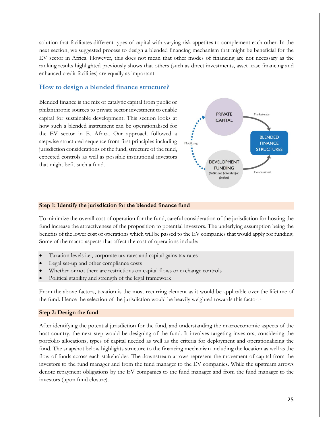solution that facilitates different types of capital with varying risk appetites to complement each other. In the next section, we suggested process to design a blended financing mechanism that might be beneficial for the EV sector in Africa. However, this does not mean that other modes of financing are not necessary as the ranking results highlighted previously shows that others (such as direct investments, asset lease financing and enhanced credit facilities) are equally as important.

#### <span id="page-24-0"></span>**How to design a blended finance structure?**

Blended finance is the mix of catalytic capital from public or philanthropic sources to private sector investment to enable capital for sustainable development. This section looks at how such a blended instrument can be operationalised for the EV sector in E. Africa. Our approach followed a stepwise structured sequence from first principles including jurisdiction considerations of the fund, structure of the fund, expected controls as well as possible institutional investors that might befit such a fund.



#### **Step 1: Identify the jurisdiction for the blended finance fund**

To minimize the overall cost of operation for the fund, careful consideration of the jurisdiction for hosting the fund increase the attractiveness of the proposition to potential investors. The underlying assumption being the benefits of the lower cost of operations which will be passed to the EV companies that would apply for funding. Some of the macro aspects that affect the cost of operations include:

- Taxation levels i.e., corporate tax rates and capital gains tax rates
- Legal set-up and other compliance costs
- Whether or not there are restrictions on capital flows or exchange controls
- Political stability and strength of the legal framework

From the above factors, taxation is the most recurring element as it would be applicable over the lifetime of the fund. Hence the selection of the jurisdiction would be heavily weighted towards this factor. [i](#page-27-0)

#### **Step 2: Design the fund**

After identifying the potential jurisdiction for the fund, and understanding the macroeconomic aspects of the host country, the next step would be designing of the fund. It involves targeting investors, considering the portfolio allocations, types of capital needed as well as the criteria for deployment and operationalizing the fund. The snapshot below highlights structure to the financing mechanism including the location as well as the flow of funds across each stakeholder. The downstream arrows represent the movement of capital from the investors to the fund manager and from the fund manager to the EV companies. While the upstream arrows denote repayment obligations by the EV companies to the fund manager and from the fund manager to the investors (upon fund closure).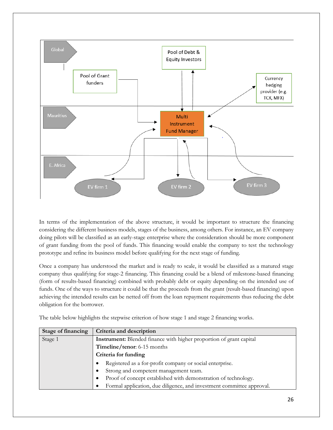

In terms of the implementation of the above structure, it would be important to structure the financing considering the different business models, stages of the business, among others. For instance, an EV company doing pilots will be classified as an early-stage enterprise where the consideration should be more component of grant funding from the pool of funds. This financing would enable the company to test the technology prototype and refine its business model before qualifying for the next stage of funding.

Once a company has understood the market and is ready to scale, it would be classified as a matured stage company thus qualifying for stage-2 financing. This financing could be a blend of milestone-based financing (form of results-based financing) combined with probably debt or equity depending on the intended use of funds. One of the ways to structure it could be that the proceeds from the grant (result-based financing) upon achieving the intended results can be netted off from the loan repayment requirements thus reducing the debt obligation for the borrower.

The table below highlights the stepwise criterion of how stage 1 and stage 2 financing works.

| <b>Stage of financing</b> | Criteria and description                                                   |  |  |
|---------------------------|----------------------------------------------------------------------------|--|--|
| Stage 1                   | <b>Instrument:</b> Blended finance with higher proportion of grant capital |  |  |
|                           | Timeline/tenor: 6-15 months                                                |  |  |
|                           | Criteria for funding                                                       |  |  |
|                           | Registered as a for-profit company or social enterprise.                   |  |  |
|                           | Strong and competent management team.                                      |  |  |
|                           | Proof of concept established with demonstration of technology.             |  |  |
|                           | Formal application, due diligence, and investment committee approval.      |  |  |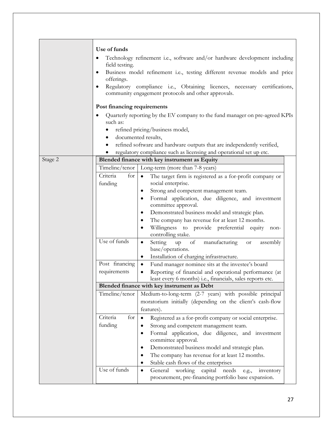|         | Use of funds                                                                                                                     |                                                                                                                        |  |  |
|---------|----------------------------------------------------------------------------------------------------------------------------------|------------------------------------------------------------------------------------------------------------------------|--|--|
|         | Technology refinement i.e., software and/or hardware development including<br>field testing.                                     |                                                                                                                        |  |  |
|         | Business model refinement i.e., testing different revenue models and price<br>offerings.                                         |                                                                                                                        |  |  |
|         | Regulatory compliance i.e., Obtaining licences, necessary certifications,<br>community engagement protocols and other approvals. |                                                                                                                        |  |  |
|         | Post financing requirements                                                                                                      |                                                                                                                        |  |  |
|         | such as:                                                                                                                         | Quarterly reporting by the EV company to the fund manager on pre-agreed KPIs                                           |  |  |
|         |                                                                                                                                  | refined pricing/business model,                                                                                        |  |  |
|         |                                                                                                                                  | documented results,                                                                                                    |  |  |
|         |                                                                                                                                  | refined software and hardware outputs that are independently verified,                                                 |  |  |
|         |                                                                                                                                  | regulatory compliance such as licensing and operational set up etc.                                                    |  |  |
| Stage 2 |                                                                                                                                  | Blended finance with key instrument as Equity                                                                          |  |  |
|         | Timeline/tenor                                                                                                                   | Long-term (more than 7-8 years)                                                                                        |  |  |
|         | for<br>Criteria<br>funding                                                                                                       | The target firm is registered as a for-profit company or<br>$\bullet$<br>social enterprise.                            |  |  |
|         |                                                                                                                                  | Strong and competent management team.                                                                                  |  |  |
|         |                                                                                                                                  | Formal application, due diligence, and investment<br>٠                                                                 |  |  |
|         |                                                                                                                                  | committee approval.                                                                                                    |  |  |
|         |                                                                                                                                  | Demonstrated business model and strategic plan.<br>٠                                                                   |  |  |
|         |                                                                                                                                  | The company has revenue for at least 12 months.<br>٠                                                                   |  |  |
|         |                                                                                                                                  | Willingness to provide preferential equity<br>٠<br>non-<br>controlling stake.                                          |  |  |
|         | Use of funds                                                                                                                     | $\mathrm{of}$<br>manufacturing<br>Setting<br>assembly<br>up<br>$\bullet$<br>or<br>base/operations.                     |  |  |
|         |                                                                                                                                  | Installation of charging infrastructure.<br>$\bullet$                                                                  |  |  |
|         | Post financing                                                                                                                   | Fund manager nominee sits at the investee's board<br>$\bullet$                                                         |  |  |
|         | requirements                                                                                                                     | Reporting of financial and operational performance (at                                                                 |  |  |
|         |                                                                                                                                  | least every 6 months) i.e., financials, sales reports etc.                                                             |  |  |
|         |                                                                                                                                  | Blended finance with key instrument as Debt                                                                            |  |  |
|         | Timeline/tenor                                                                                                                   | Medium-to-long-term (2-7 years) with possible principal                                                                |  |  |
|         |                                                                                                                                  | moratorium initially (depending on the client's cash-flow                                                              |  |  |
|         |                                                                                                                                  | features).                                                                                                             |  |  |
|         | Criteria<br>for                                                                                                                  | Registered as a for-profit company or social enterprise.                                                               |  |  |
|         | funding                                                                                                                          | Strong and competent management team.                                                                                  |  |  |
|         |                                                                                                                                  | Formal application, due diligence, and investment<br>٠<br>committee approval.                                          |  |  |
|         |                                                                                                                                  | Demonstrated business model and strategic plan.<br>٠                                                                   |  |  |
|         |                                                                                                                                  | The company has revenue for at least 12 months.                                                                        |  |  |
|         |                                                                                                                                  | Stable cash flows of the enterprises                                                                                   |  |  |
|         | Use of funds                                                                                                                     | General<br>working capital<br>needs<br>inventory<br>e.g.,<br>٠<br>procurement, pre-financing portfolio base expansion. |  |  |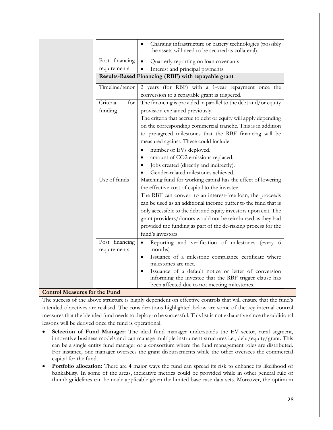| Charging infrastructure or battery technologies (possibly<br>$\bullet$<br>the assets will need to be secured as collateral). |
|------------------------------------------------------------------------------------------------------------------------------|
| Quarterly reporting on loan covenants<br>$\bullet$                                                                           |
| Interest and principal payments                                                                                              |
| Results-Based Financing (RBF) with repayable grant                                                                           |
| 2 years (for RBF) with a 1-year repayment once the<br>conversion to a repayable grant is triggered.                          |
| The financing is provided in parallel to the debt and/or equity                                                              |
| provision explained previously.                                                                                              |
| The criteria that accrue to debt or equity will apply depending                                                              |
| on the corresponding commercial tranche. This is in addition                                                                 |
| to pre-agreed milestones that the RBF financing will be                                                                      |
| measured against. These could include:                                                                                       |
| number of EVs deployed.<br>٠                                                                                                 |
| amount of CO2 emissions replaced.<br>$\bullet$                                                                               |
| Jobs created (directly and indirectly).                                                                                      |
| Gender-related milestones achieved.                                                                                          |
| Matching fund for working capital has the effect of lowering                                                                 |
| the effective cost of capital to the investee.                                                                               |
| The RBF can convert to an interest-free loan, the proceeds                                                                   |
| can be used as an additional income buffer to the fund that is                                                               |
| only accessible to the debt and equity investors upon exit. The                                                              |
| grant providers/donors would not be reimbursed as they had                                                                   |
| provided the funding as part of the de-risking process for the                                                               |
| fund's investors.                                                                                                            |
| Reporting and verification of milestones (every 6<br>$\bullet$                                                               |
| months)                                                                                                                      |
| Issuance of a milestone compliance certificate where<br>٠<br>milestones are met.                                             |
| Issuance of a default notice or letter of conversion<br>$\bullet$                                                            |
| informing the investee that the RBF trigger clause has                                                                       |
| been affected due to not meeting milestones.                                                                                 |
|                                                                                                                              |

#### <span id="page-27-0"></span>**Control Measures for the Fund**

The success of the above structure is highly dependent on effective controls that will ensure that the fund's intended objectives are realised. The considerations highlighted below are some of the key internal control measures that the blended fund needs to deploy to be successful. This list is not exhaustive since the additional lessons will be derived once the fund is operational.

- **Selection of Fund Manager:** The ideal fund manager understands the EV sector, rural segment, innovative business models and can manage multiple instrument structures i.e., debt/equity/grant. This can be a single entity fund manager or a consortium where the fund management roles are distributed. For instance, one manager oversees the grant disbursements while the other oversees the commercial capital for the fund.
- **Portfolio allocation:** There are 4 major ways the fund can spread its risk to enhance its likelihood of bankability. In some of the areas, indicative metrics could be provided while in other general rule of thumb guidelines can be made applicable given the limited base case data sets. Moreover, the optimum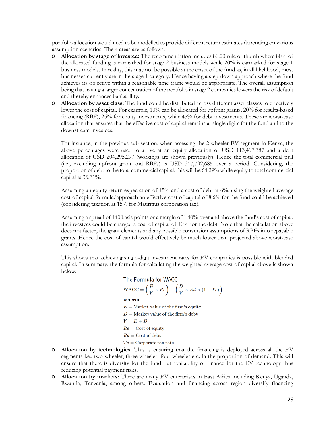portfolio allocation would need to be modelled to provide different return estimates depending on various assumption scenarios. The 4 areas are as follows:

- o **Allocation by stage of investee:** The recommendation includes 80:20 rule of thumb where 80% of the allocated funding is earmarked for stage 2 business models while 20% is earmarked for stage 1 business models. In reality, this may not be possible at the onset of the fund as, in all likelihood, most businesses currently are in the stage 1 category. Hence having a step-down approach where the fund achieves its objective within a reasonable time frame would be appropriate. The overall assumption being that having a larger concentration of the portfolio in stage 2 companies lowers the risk of default and thereby enhances bankability.
- o **Allocation by asset class:** The fund could be distributed across different asset classes to effectively lower the cost of capital. For example, 10% can be allocated for upfront grants, 20% for results-based financing (RBF), 25% for equity investments, while 45% for debt investments. These are worst-case allocation that ensures that the effective cost of capital remains at single digits for the fund and to the downstream investees.

For instance, in the previous sub-section, when assessing the 2-wheeler EV segment in Kenya, the above percentages were used to arrive at an equity allocation of USD 113,497,387 and a debt allocation of USD 204,295,297 (workings are shown previously). Hence the total commercial pull (i.e., excluding upfront grant and RBFs) is USD 317,792,685 over a period. Considering, the proportion of debt to the total commercial capital, this will be 64.29% while equity to total commercial capital is 35.71%.

Assuming an equity return expectation of 15% and a cost of debt at 6%, using the weighted average cost of capital formula/approach an effective cost of capital of 8.6% for the fund could be achieved (considering taxation at 15% for Mauritius corporation tax).

Assuming a spread of 140 basis points or a margin of 1.40% over and above the fund's cost of capital, the investees could be charged a cost of capital of 10% for the debt. Note that the calculation above does not factor, the grant elements and any possible conversion assumptions of RBFs into repayable grants. Hence the cost of capital would effectively be much lower than projected above worst-case assumption.

This shows that achieving single-digit investment rates for EV companies is possible with blended capital. In summary, the formula for calculating the weighted average cost of capital above is shown below:

> The Formula for WACC  $\text{WACC} = \left(\frac{E}{V} \times Re\right) + \left(\frac{D}{V} \times Rd \times (1 - Te)\right)$ where:  $E =$  Market value of the firm's equity  $D={\rm Market}$  value of the firm's debt  $V = E + D$  $Re = Cost of equity$  $Rd = \text{Cost of debt}$  $Tc$  = Corporate tax rate

- o **Allocation by technologies**: This is ensuring that the financing is deployed across all the EV segments i.e., two-wheeler, three-wheeler, four-wheeler etc. in the proportion of demand. This will ensure that there is diversity for the fund but availability of finance for the EV technology thus reducing potential payment risks.
- o **Allocation by markets:** There are many EV enterprises in East Africa including Kenya, Uganda, Rwanda, Tanzania, among others. Evaluation and financing across region diversify financing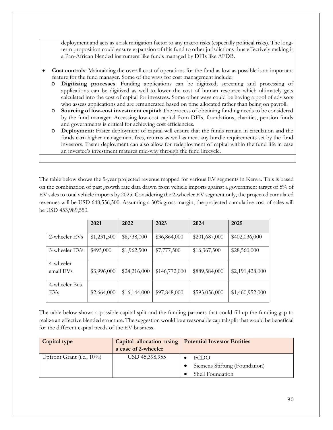deployment and acts as a risk mitigation factor to any macro risks (especially political risks). The longterm proposition could ensure expansion of this fund to other jurisdictions thus effectively making it a Pan-African blended instrument like funds managed by DFIs like AFDB.

- **Cost controls**: Maintaining the overall cost of operations for the fund as low as possible is an important feature for the fund manager. Some of the ways for cost management include:
	- o **Digitizing processes**: Funding applications can be digitized; screening and processing of applications can be digitized as well to lower the cost of human resource which ultimately gets calculated into the cost of capital for investees. Some other ways could be having a pool of advisors who assess applications and are remunerated based on time allocated rather than being on payroll.
	- o **Sourcing of low-cost investment capital:** The process of obtaining funding needs to be considered by the fund manager. Accessing low-cost capital from DFIs, foundations, charities, pension funds and governments is critical for achieving cost efficiencies.
	- o **Deployment:** Faster deployment of capital will ensure that the funds remain in circulation and the funds earn higher management fees, returns as well as meet any hurdle requirements set by the fund investors. Faster deployment can also allow for redeployment of capital within the fund life in case an investee's investment matures mid-way through the fund lifecycle.

The table below shows the 5-year projected revenue mapped for various EV segments in Kenya. This is based on the combination of past growth rate data drawn from vehicle imports against a government target of 5% of EV sales to total vehicle imports by 2025. Considering the 2-wheeler EV segment only, the projected cumulated revenues will be USD 648,556,500. Assuming a 30% gross margin, the projected cumulative cost of sales will be USD 453,989,550.

|                             | 2021        | 2022         | 2023          | 2024          | 2025            |
|-----------------------------|-------------|--------------|---------------|---------------|-----------------|
| 2-wheeler EVs               | \$1,231,500 | \$6,738,000  | \$36,864,000  | \$201,687,000 | \$402,036,000   |
| 3-wheeler EVs               | \$495,000   | \$1,962,500  | \$7,777,500   | \$16,367,500  | \$28,560,000    |
| 4-wheeler<br>small EVs      | \$3,996,000 | \$24,216,000 | \$146,772,000 | \$889,584,000 | \$2,191,428,000 |
| 4-wheeler Bus<br><b>EVs</b> | \$2,664,000 | \$16,144,000 | \$97,848,000  | \$593,056,000 | \$1,460,952,000 |

The table below shows a possible capital split and the funding partners that could fill up the funding gap to realize an effective blended structure. The suggestion would be a reasonable capital split that would be beneficial for the different capital needs of the EV business.

| Capital type              |                     | Capital allocation using   Potential Investor Entities |
|---------------------------|---------------------|--------------------------------------------------------|
|                           | a case of 2-wheeler |                                                        |
| Upfront Grant (i.e., 10%) | USD 45,398,955      | <b>FCDO</b>                                            |
|                           |                     | Siemens Stiftung (Foundation)                          |
|                           |                     | Shell Foundation                                       |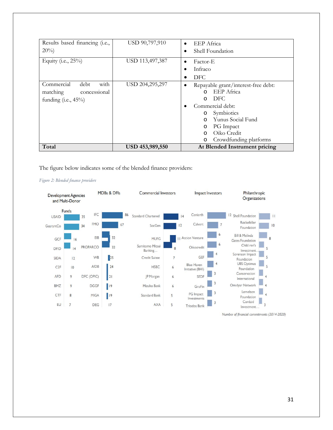| Results based financing (i.e.,<br>$20\%$                                         | USD 90,797,910  | <b>EEP</b> Africa<br>$\bullet$<br>Shell Foundation                                                                                                                                                                                                     |  |
|----------------------------------------------------------------------------------|-----------------|--------------------------------------------------------------------------------------------------------------------------------------------------------------------------------------------------------------------------------------------------------|--|
| Equity (i.e., $25\%$ )                                                           | USD 113,497,387 | Factor-E<br>$\bullet$<br>Infraco<br>DFC.                                                                                                                                                                                                               |  |
| with<br>Commercial<br>debt<br>concessional<br>matching<br>funding $(i.e., 45\%)$ | USD 204,295,297 | Repayable grant/interest-free debt:<br>٠<br>EEP Africa<br>$\Omega$<br>DFC.<br>$\Omega$<br>Commercial debt:<br>Symbiotics<br>$\circ$<br>Yunus Social Fund<br>$\Omega$<br>PG Impact<br>O<br>Oiko Credit<br>$\Omega$<br>Crowdfunding platforms<br>$\circ$ |  |
| Total                                                                            | USD 453,989,550 | At Blended Instrument pricing                                                                                                                                                                                                                          |  |

The figure below indicates some of the blended finance providers:





Number of financial commitments (2014-2020)